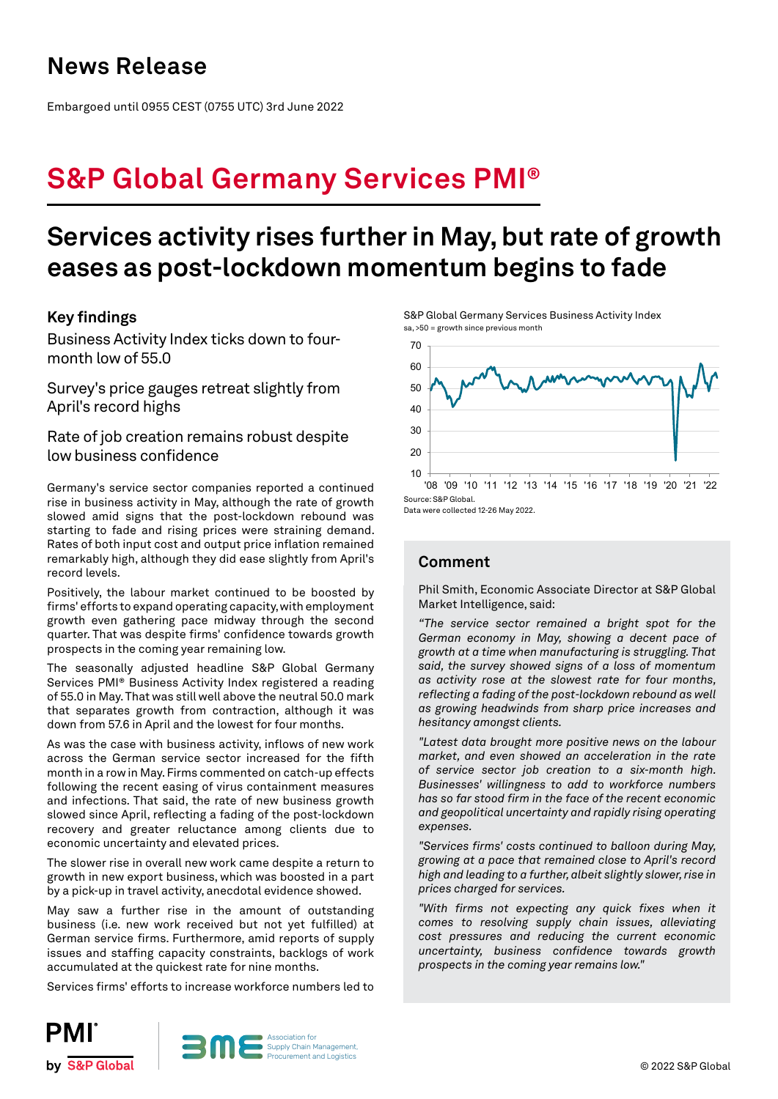### **News Release**

Embargoed until 0955 CEST (0755 UTC) 3rd June 2022

# **S&P Global Germany Services PMI®**

## **Services activity rises further in May, but rate of growth eases as post-lockdown momentum begins to fade**

### **Key findings**

Business Activity Index ticks down to fourmonth low of 55.0

Survey's price gauges retreat slightly from April's record highs

Rate of job creation remains robust despite low business confidence

Germany's service sector companies reported a continued rise in business activity in May, although the rate of growth slowed amid signs that the post-lockdown rebound was starting to fade and rising prices were straining demand. Rates of both input cost and output price inflation remained remarkably high, although they did ease slightly from April's record levels.

Positively, the labour market continued to be boosted by firms' efforts to expand operating capacity, with employment growth even gathering pace midway through the second quarter. That was despite firms' confidence towards growth prospects in the coming year remaining low.

The seasonally adjusted headline S&P Global Germany Services PMI® Business Activity Index registered a reading of 55.0 in May. That was still well above the neutral 50.0 mark that separates growth from contraction, although it was down from 57.6 in April and the lowest for four months.

As was the case with business activity, inflows of new work across the German service sector increased for the fifth month in a row in May. Firms commented on catch-up effects following the recent easing of virus containment measures and infections. That said, the rate of new business growth slowed since April, reflecting a fading of the post-lockdown recovery and greater reluctance among clients due to economic uncertainty and elevated prices.

The slower rise in overall new work came despite a return to growth in new export business, which was boosted in a part by a pick-up in travel activity, anecdotal evidence showed.

May saw a further rise in the amount of outstanding business (i.e. new work received but not yet fulfilled) at German service firms. Furthermore, amid reports of supply issues and staffing capacity constraints, backlogs of work accumulated at the quickest rate for nine months.

Services firms' efforts to increase workforce numbers led to

S&P Global Germany Services Business Activity Index sa, >50 = growth since previous month



Data were collected 12-26 May 2022.

### **Comment**

Phil Smith, Economic Associate Director at S&P Global Market Intelligence, said:

*"The service sector remained a bright spot for the German economy in May, showing a decent pace of growth at a time when manufacturing is struggling. That said, the survey showed signs of a loss of momentum as activity rose at the slowest rate for four months, reflecting a fading of the post-lockdown rebound as well as growing headwinds from sharp price increases and hesitancy amongst clients.*

*"Latest data brought more positive news on the labour market, and even showed an acceleration in the rate of service sector job creation to a six-month high. Businesses' willingness to add to workforce numbers has so far stood firm in the face of the recent economic and geopolitical uncertainty and rapidly rising operating expenses.*

*"Services firms' costs continued to balloon during May, growing at a pace that remained close to April's record high and leading to a further, albeit slightly slower, rise in prices charged for services.* 

*"With firms not expecting any quick fixes when it comes to resolving supply chain issues, alleviating cost pressures and reducing the current economic uncertainty, business confidence towards growth prospects in the coming year remains low."* 



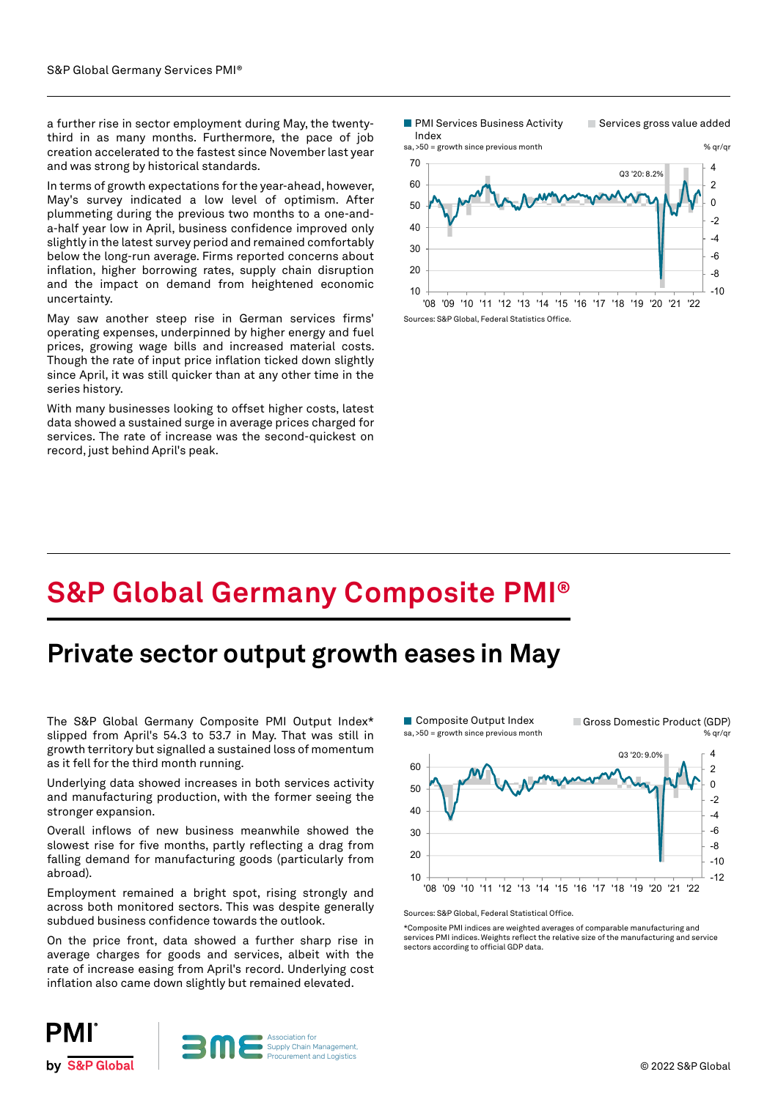a further rise in sector employment during May, the twentythird in as many months. Furthermore, the pace of job creation accelerated to the fastest since November last year and was strong by historical standards.

In terms of growth expectations for the year-ahead, however, May's survey indicated a low level of optimism. After plummeting during the previous two months to a one-anda-half year low in April, business confidence improved only slightly in the latest survey period and remained comfortably below the long-run average. Firms reported concerns about inflation, higher borrowing rates, supply chain disruption and the impact on demand from heightened economic uncertainty.

May saw another steep rise in German services firms' operating expenses, underpinned by higher energy and fuel prices, growing wage bills and increased material costs. Though the rate of input price inflation ticked down slightly since April, it was still quicker than at any other time in the series history.

With many businesses looking to offset higher costs, latest data showed a sustained surge in average prices charged for services. The rate of increase was the second-quickest on record, just behind April's peak.

**PMI Services Business Activity** 

Services gross value added



# **S&P Global Germany Composite PMI®**

### **Private sector output growth eases in May**

The S&P Global Germany Composite PMI Output Index\* slipped from April's 54.3 to 53.7 in May. That was still in growth territory but signalled a sustained loss of momentum as it fell for the third month running.

Underlying data showed increases in both services activity and manufacturing production, with the former seeing the stronger expansion.

Overall inflows of new business meanwhile showed the slowest rise for five months, partly reflecting a drag from falling demand for manufacturing goods (particularly from abroad).

Employment remained a bright spot, rising strongly and across both monitored sectors. This was despite generally subdued business confidence towards the outlook.

On the price front, data showed a further sharp rise in average charges for goods and services, albeit with the rate of increase easing from April's record. Underlying cost inflation also came down slightly but remained elevated.



Sources: S&P Global, Federal Statistical Office.

\*Composite PMI indices are weighted averages of comparable manufacturing and services PMI indices. Weights reflect the relative size of the manufacturing and service sectors according to official GDP data.